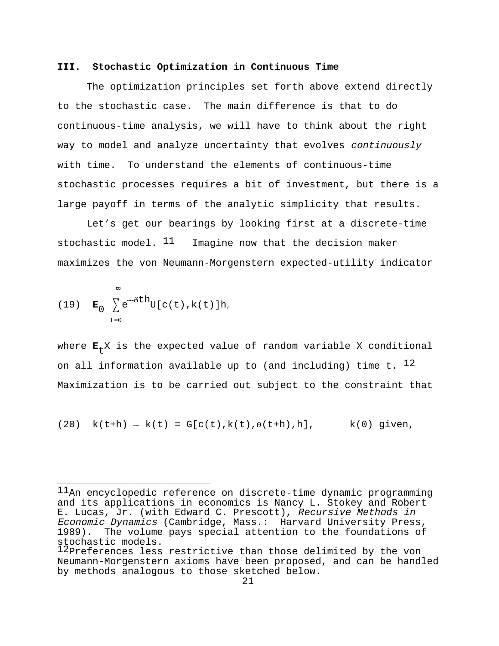## **III. Stochastic Optimization in Continuous Time**

The optimization principles set forth above extend directly to the stochastic case. The main difference is that to do continuous-time analysis, we will have to think about the right way to model and analyze uncertainty that evolves continuously with time. To understand the elements of continuous-time stochastic processes requires a bit of investment, but there is a large payoff in terms of the analytic simplicity that results.

Let's get our bearings by looking first at a discrete-time stochastic model.  $11$  Imagine now that the decision maker maximizes the von Neumann-Morgenstern expected-utility indicator

(19) 
$$
\mathbf{E}_0 \sum_{t=0}^{\infty} e^{-\delta t h} U[c(t), k(t)] h,
$$

where  $E_+ X$  is the expected value of random variable X conditional on all information available up to (and including) time t.  $^{12}$ Maximization is to be carried out subject to the constraint that

 $(20)$  k(t+h) - k(t) = G[c(t),k(t), $\theta$ (t+h),h], k(0) given,

 ${}^{11}$ An encyclopedic reference on discrete-time dynamic programming and its applications in economics is Nancy L. Stokey and Robert E. Lucas, Jr. (with Edward C. Prescott), Recursive Methods in Economic Dynamics (Cambridge, Mass.: Harvard University Press, 1989). The volume pays special attention to the foundations of stochastic models.

<sup>12</sup>Preferences less restrictive than those delimited by the von Neumann-Morgenstern axioms have been proposed, and can be handled by methods analogous to those sketched below.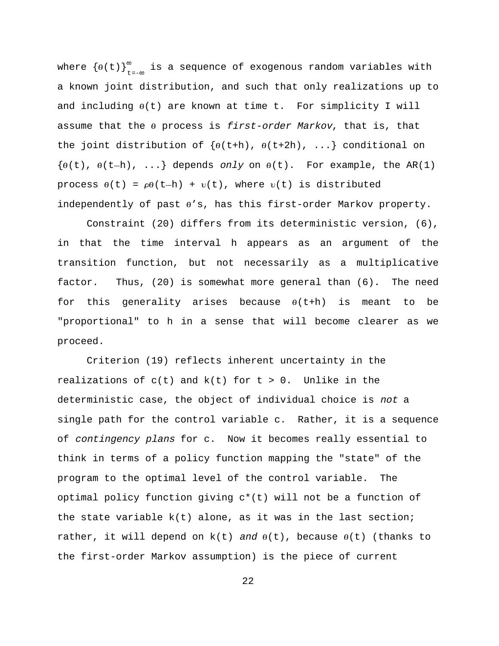where  ${(\theta(t))}_{t=-\infty}^{\infty}$  is a sequence of exogenous random variables with a known joint distribution, and such that only realizations up to and including  $\theta(t)$  are known at time t. For simplicity I will assume that the  $\theta$  process is first-order Markov, that is, that the joint distribution of  $\{\theta(\text{t+h}), \theta(\text{t+2h}), \dots\}$  conditional on  $\{\theta(t), \theta(t-h), \ldots\}$  depends only on  $\theta(t)$ . For example, the AR(1) process  $\theta(t) = \rho\theta(t-h) + v(t)$ , where  $v(t)$  is distributed independently of past  $\theta' s$ , has this first-order Markov property.

Constraint (20) differs from its deterministic version, (6), in that the time interval h appears as an argument of the transition function, but not necessarily as a multiplicative factor. Thus, (20) is somewhat more general than (6). The need for this generality arises because  $\theta(t+h)$  is meant to be "proportional" to h in a sense that will become clearer as we proceed.

Criterion (19) reflects inherent uncertainty in the realizations of  $c(t)$  and  $k(t)$  for  $t > 0$ . Unlike in the deterministic case, the object of individual choice is not a single path for the control variable c. Rather, it is a sequence of contingency plans for c. Now it becomes really essential to think in terms of a policy function mapping the "state" of the program to the optimal level of the control variable. The optimal policy function giving c\*(t) will not be a function of the state variable  $k(t)$  alone, as it was in the last section; rather, it will depend on  $k(t)$  and  $\theta(t)$ , because  $\theta(t)$  (thanks to the first-order Markov assumption) is the piece of current

22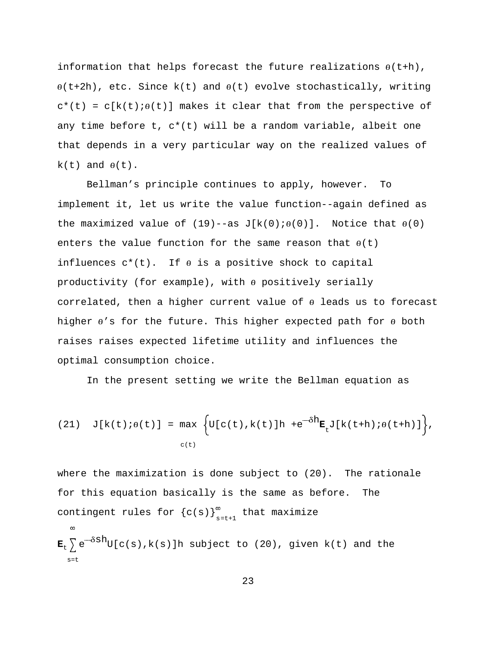information that helps forecast the future realizations  $\theta$ (t+h),  $\theta$ (t+2h), etc. Since k(t) and  $\theta$ (t) evolve stochastically, writing  $c^*(t) = c[k(t);\theta(t)]$  makes it clear that from the perspective of any time before t, c\*(t) will be a random variable, albeit one that depends in a very particular way on the realized values of  $k(t)$  and  $\theta(t)$ .

Bellman's principle continues to apply, however. To implement it, let us write the value function--again defined as the maximized value of  $(19)$ --as  $J[k(0); \theta(0)]$ . Notice that  $\theta(0)$ enters the value function for the same reason that  $\theta(t)$ influences  $c^*(t)$ . If  $\theta$  is a positive shock to capital productivity (for example), with  $\theta$  positively serially correlated, then a higher current value of  $\theta$  leads us to forecast higher  $\theta$ 's for the future. This higher expected path for  $\theta$  both raises raises expected lifetime utility and influences the optimal consumption choice.

In the present setting we write the Bellman equation as

(21) 
$$
J[k(t) \cdot \theta(t)] = \max_{c(t)} \left\{ U[c(t), k(t)]h + e^{-\delta h} E_t J[k(t+h) \cdot \theta(t+h)] \right\},
$$

where the maximization is done subject to (20). The rationale for this equation basically is the same as before. The contingent rules for  ${c(s)}_{s=t+1}^{\infty}$  that maximize  $\infty$  $\mathbf{E}_t \sum e^{-\delta S h} U(c(s),k(s))$ h subject to (20), given k(t) and the

 $s=t$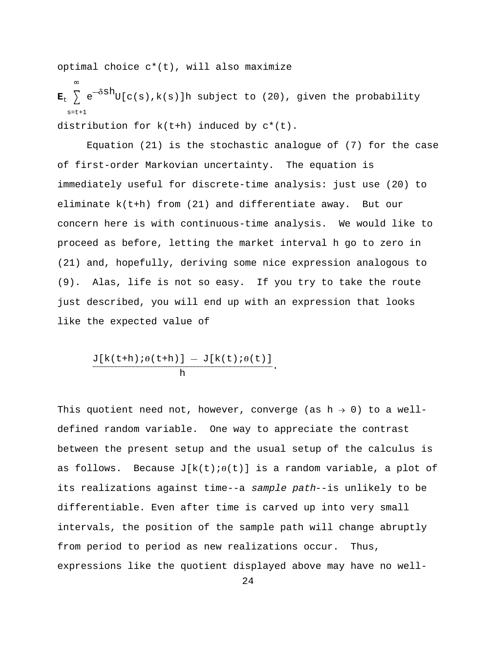optimal choice c\*(t), will also maximize

 $\infty$  $\mathbf{E}_t$   $\sum e^{-\delta S h} U(c(s),k(s))$ h subject to (20), given the probability  $s=t+1$ distribution for k(t+h) induced by c\*(t).

Equation (21) is the stochastic analogue of (7) for the case of first-order Markovian uncertainty. The equation is immediately useful for discrete-time analysis: just use (20) to eliminate k(t+h) from (21) and differentiate away. But our concern here is with continuous-time analysis. We would like to proceed as before, letting the market interval h go to zero in (21) and, hopefully, deriving some nice expression analogous to (9). Alas, life is not so easy. If you try to take the route just described, you will end up with an expression that looks like the expected value of

$$
\frac{\text{J}[k(t+h);\theta(t+h)] - \text{J}[k(t);\theta(t)]}{h}.
$$

This quotient need not, however, converge (as  $h \rightarrow 0$ ) to a welldefined random variable. One way to appreciate the contrast between the present setup and the usual setup of the calculus is as follows. Because  $J[k(t); \theta(t)]$  is a random variable, a plot of its realizations against time--a sample path--is unlikely to be differentiable. Even after time is carved up into very small intervals, the position of the sample path will change abruptly from period to period as new realizations occur. Thus, expressions like the quotient displayed above may have no well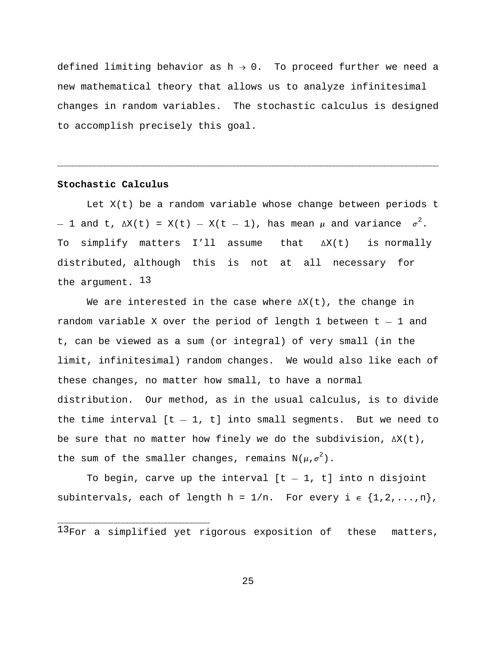defined limiting behavior as  $h \rightarrow 0$ . To proceed further we need a new mathematical theory that allows us to analyze infinitesimal changes in random variables. The stochastic calculus is designed to accomplish precisely this goal.

------------------------------------------------------------------------------------------------------------------------------------------------------------------------------------------------------------------------------------------------------------------------------------------------------------------------------------------------------------------------------------------------------

## **Stochastic Calculus**

Let X(t) be a random variable whose change between periods t - 1 and t,  $\Delta X(t) = X(t) - X(t - 1)$ , has mean  $\mu$  and variance  $\sigma^2$ . To simplify matters I'll assume that  $\Delta X(t)$  is normally distributed, although this is not at all necessary for the argument. 13

We are interested in the case where  $\Delta X(t)$ , the change in random variable X over the period of length 1 between  $t - 1$  and t, can be viewed as a sum (or integral) of very small (in the limit, infinitesimal) random changes. We would also like each of these changes, no matter how small, to have a normal distribution. Our method, as in the usual calculus, is to divide the time interval  $[t - 1, t]$  into small segments. But we need to be sure that no matter how finely we do the subdivision,  $\Delta X(t)$ , the sum of the smaller changes, remains  $N(\mu,\sigma^2)$ .

To begin, carve up the interval  $[t - 1, t]$  into n disjoint subintervals, each of length  $h = 1/n$ . For every  $i \in \{1, 2, ..., n\}$ ,

25

 $^{13}$ For a simplified yet rigorous exposition of these matters,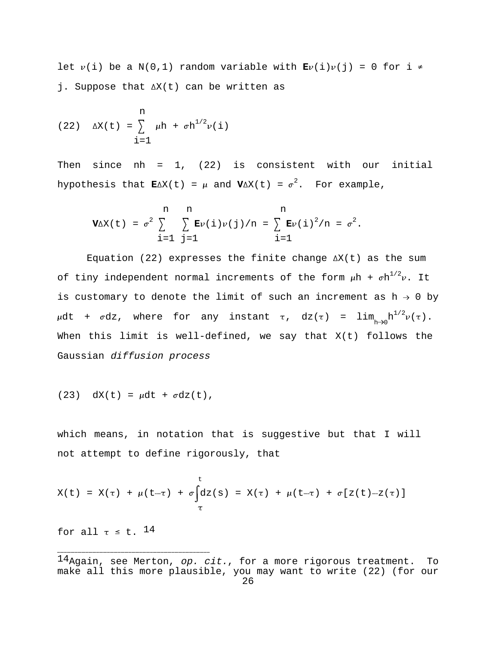let  $v(i)$  be a N(0,1) random variable with  $\mathbf{E}v(i)v(j) = 0$  for i  $\neq$ j. Suppose that  $\Delta X(t)$  can be written as

(22) 
$$
\Delta X(t) = \sum_{i=1}^{n} \mu h + \sigma h^{1/2} \nu(i)
$$

Then since nh =  $1$ , (22) is consistent with our initial hypothesis that  $\mathbf{E}\Delta X(t) = \mu$  and  $\mathbf{V}\Delta X(t) = \sigma^2$ . For example,

$$
\mathbf{V}\Delta X(t) = \sigma^2 \sum_{i=1}^{n} \sum_{j=1}^{n} \mathbf{E}\nu(i)\nu(j)/n = \sum_{i=1}^{n} \mathbf{E}\nu(i)^2/n = \sigma^2.
$$

Equation (22) expresses the finite change  $\Delta X(t)$  as the sum of tiny independent normal increments of the form  $\mu$ h +  $\sigma h^{1/2}\nu$ . It is customary to denote the limit of such an increment as  $h \rightarrow 0$  by  $\mu$ dt +  $\sigma$ dz, where for any instant  $\tau$ , dz( $\tau$ ) = lim<sub>h→0</sub>h<sup>1/2</sup> $\nu(\tau)$ . When this limit is well-defined, we say that X(t) follows the Gaussian diffusion process

$$
(23) dX(t) = \mu dt + \sigma dz(t),
$$

which means, in notation that is suggestive but that I will not attempt to define rigorously, that

$$
X(t) = X(\tau) + \mu(t-\tau) + \sigma \int_{\tau}^{t} dz(s) = X(\tau) + \mu(t-\tau) + \sigma[z(t)-z(\tau)]
$$

for all  $\tau \leq t$ . 14

 $14$ Again, see Merton, op. cit., for a more rigorous treatment. To make all this more plausible, you may want to write (22) (for our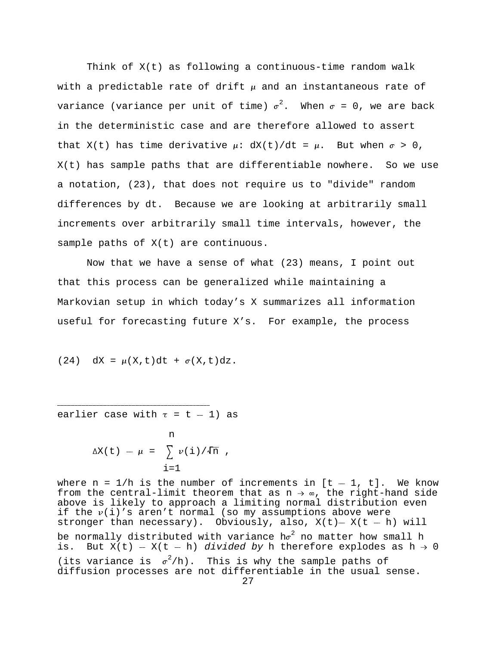Think of X(t) as following a continuous-time random walk with a predictable rate of drift  $\mu$  and an instantaneous rate of variance (variance per unit of time)  $\sigma^2$ . When  $\sigma = 0$ , we are back in the deterministic case and are therefore allowed to assert that  $X(t)$  has time derivative  $\mu$ :  $dX(t)/dt = \mu$ . But when  $\sigma > 0$ , X(t) has sample paths that are differentiable nowhere. So we use a notation, (23), that does not require us to "divide" random differences by dt. Because we are looking at arbitrarily small increments over arbitrarily small time intervals, however, the sample paths of X(t) are continuous.

Now that we have a sense of what (23) means, I point out that this process can be generalized while maintaining a Markovian setup in which today's X summarizes all information useful for forecasting future X's. For example, the process

$$
(24) \quad \mathrm{d}X = \mu(X,t) \mathrm{d}t + \sigma(X,t) \mathrm{d}z.
$$

----------------------------------------------------------------------------------------------------------------------------------------------------------- earlier case with  $\tau = t - 1$  as

$$
\Delta X(t) - \mu = \sum_{i=1}^{n} \nu(i) / \sqrt{n},
$$

where  $n = 1/h$  is the number of increments in  $[t - 1, t]$ . We know from the central-limit theorem that as  $n \rightarrow \infty$ , the right-hand side above is likely to approach a limiting normal distribution even if the  $v(i)'$ s aren't normal (so my assumptions above were stronger than necessary). Obviously, also,  $X(t) - X(t - h)$  will be normally distributed with variance  $h\sigma^2$  no matter how small h is. But  $X(t) - X(t - h)$  divided by h therefore explodes as  $h \rightarrow 0$ (its variance is  $\sigma^2/h$ ). This is why the sample paths of diffusion processes are not differentiable in the usual sense.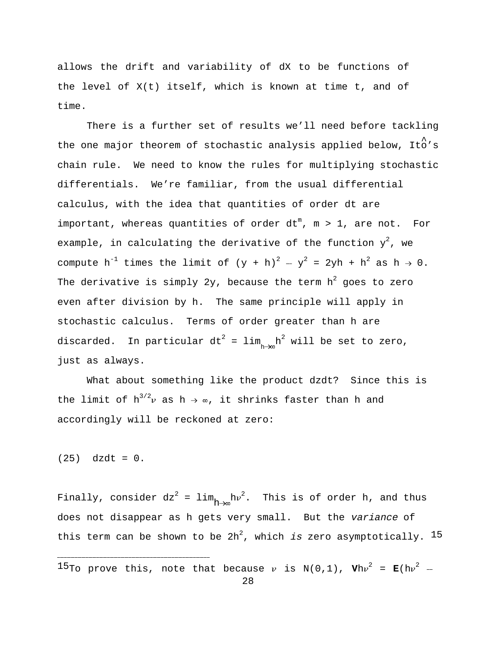allows the drift and variability of dX to be functions of the level of X(t) itself, which is known at time t, and of time.

There is a further set of results we'll need before tackling the one major theorem of stochastic analysis applied below, Ito's chain rule. We need to know the rules for multiplying stochastic differentials. We're familiar, from the usual differential calculus, with the idea that quantities of order dt are important, whereas quantities of order  $dt^{m}$ , m > 1, are not. For example, in calculating the derivative of the function  $y^2$ , we compute h<sup>-1</sup> times the limit of  $(y + h)^2 - y^2 = 2yh + h^2$  as  $h \to 0$ . The derivative is simply 2y, because the term  $h^2$  goes to zero even after division by h. The same principle will apply in stochastic calculus. Terms of order greater than h are discarded. In particular dt<sup>2</sup> = lim<sub>hdm</sub>n<sup>2</sup> will be set to zero, just as always.

What about something like the product dzdt? Since this is the limit of  $h^{3/2}v$  as  $h \rightarrow \infty$ , it shrinks faster than h and accordingly will be reckoned at zero:

 $(25)$  dzdt = 0.

------------------------------------------------------------------------------------------------------------------------------------------------------------

Finally, consider  $dz^2 = \lim_{h \to \infty} h v^2$ . This is of order h, and thus does not disappear as h gets very small. But the variance of this term can be shown to be  $2h^2$ , which is zero asymptotically.  $15$ 

 $^{15}$ To prove this, note that because  $\nu$  is N(0,1),  $\texttt{V}$ h $\nu^2$  =  $\texttt{E}(\texttt{h}\nu^2$  -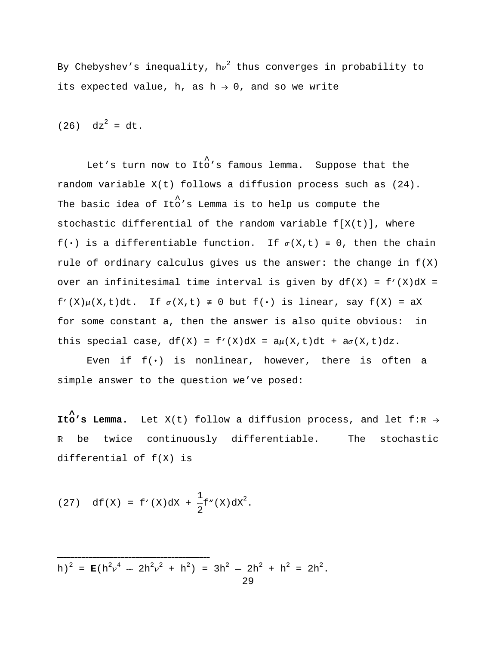By Chebyshev's inequality, hv<sup>2</sup> thus converges in probability to its expected value, h, as  $h \rightarrow 0$ , and so we write

 $(26)$  dz<sup>2</sup> = dt.

Let's turn now to Ito's famous lemma. Suppose that the random variable X(t) follows a diffusion process such as (24). The basic idea of Ito's Lemma is to help us compute the stochastic differential of the random variable  $f[X(t)]$ , where  $f(\cdot)$  is a differentiable function. If  $\sigma(X,t) = 0$ , then the chain rule of ordinary calculus gives us the answer: the change in  $f(X)$ over an infinitesimal time interval is given by  $df(X) = f'(X)dX =$  $f'(X)\mu(X,t)dt$ . If  $\sigma(X,t) \neq 0$  but  $f(\cdot)$  is linear, say  $f(X) = aX$ for some constant a, then the answer is also quite obvious: in this special case,  $df(X) = f'(X)dX = a\mu(X,t)dt + a\sigma(X,t)dz$ .

Even if  $f(\cdot)$  is nonlinear, however, there is often a simple answer to the question we've posed:

**Ito's Lemma.** Let  $X(t)$  follow a diffusion process, and let f:R  $\rightarrow$ R be twice continuously differentiable. The stochastic differential of f(X) is

(27) 
$$
df(x) = f'(x)dx + \frac{1}{2}f''(x)dx^2
$$
.

 $h)^2 = E(h^2v^4 - 2h^2v^2 + h^2) = 3h^2 - 2h^2 + h^2 = 2h^2$ . 29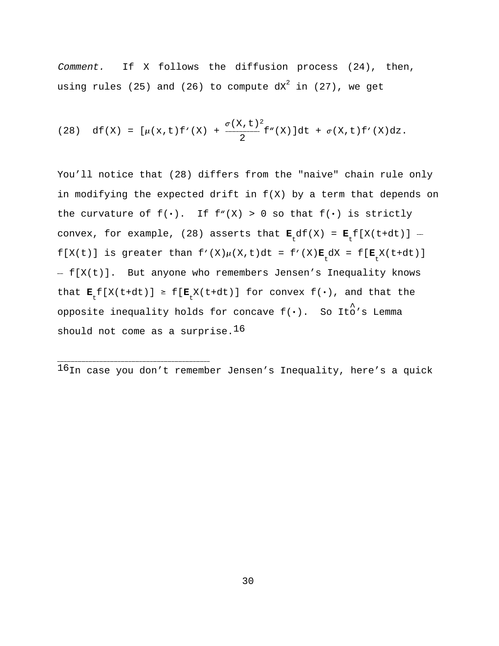Comment. If X follows the diffusion process (24), then, using rules (25) and (26) to compute  $dx^2$  in (27), we get

(28) 
$$
df(X) = [\mu(x, t) f'(X) + \frac{\sigma(X, t)^2}{2} f''(X)]dt + \sigma(X, t) f'(X)dz.
$$

You'll notice that (28) differs from the "naive" chain rule only in modifying the expected drift in f(X) by a term that depends on the curvature of  $f(\cdot)$ . If  $f''(X) > 0$  so that  $f(\cdot)$  is strictly convex, for example, (28) asserts that  $\mathbf{E}_t df(X) = \mathbf{E}_t [X(t+dt)]$   $f[X(t)]$  is greater than  $f'(X)\mu(X,t)dt = f'(X)\mathbf{E}_t dX = f[\mathbf{E}_t X(t+dt)]$  $-f[X(t)]$ . But anyone who remembers Jensen's Inequality knows that  $\mathbf{E}_{t}[X(t+dt)] \geq f[\mathbf{E}_{t}X(t+dt)]$  for convex  $f(\cdot)$ , and that the opposite inequality holds for concave  $f(\cdot)$ . So Ito's Lemma should not come as a surprise. 16

------------------------------------------------------------------------------------------------------------------------------------------------------------ 16In case you don't remember Jensen's Inequality, here's a quick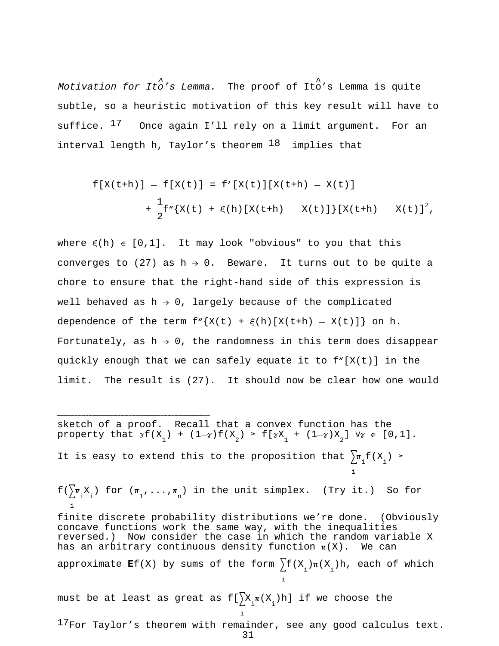^ ^ Motivation for Ito's Lemma. The proof of Ito's Lemma is quite subtle, so a heuristic motivation of this key result will have to suffice.  $17$  Once again I'll rely on a limit argument. For an interval length h, Taylor's theorem  $18$  implies that

$$
f[X(t+h)] - f[X(t)] = f'[X(t)][X(t+h) - X(t)] + \frac{1}{2}f''\{X(t) + \xi(h)[X(t+h) - X(t)]\}[X(t+h) - X(t)]^2,
$$

where  $\xi(h) \in [0,1]$ . It may look "obvious" to you that this converges to (27) as  $h \rightarrow 0$ . Beware. It turns out to be quite a chore to ensure that the right-hand side of this expression is well behaved as  $h \rightarrow 0$ , largely because of the complicated dependence of the term  $f''\{X(t) + \xi(h)[X(t+h) - X(t)]\}$  on h. Fortunately, as  $h \rightarrow 0$ , the randomness in this term does disappear quickly enough that we can safely equate it to f"[X(t)] in the limit. The result is (27). It should now be clear how one would

----------------------------------------------------------------------------------------------------------------------------------------------------------- sketch of a proof. Recall that a convex function has the property that  $\gamma f(X_1) + (1-\gamma) f(X_2) \geq f[\gamma X_1 + (1-\gamma)X_2] \quad \forall \gamma \in [0,1].$ It is easy to extend this to the proposition that  $\sum_{i=1}^{\infty} f(X_i) \geq$ i

 $f(\sum_{i=1}^{\infty} \pi_{i} X_{i})$  for  $(\pi_{1}, \ldots, \pi_{n})$  in the unit simplex. (Try it.) So for i finite discrete probability distributions we're done. (Obviously concave functions work the same way, with the inequalities reversed.) Now consider the case in which the random variable X has an arbitrary continuous density function  $\pi(X)$ . We can approximate **E**f(X) by sums of the form  $\sum f(X_i)\pi(X_i)$ h, each of which i must be at least as great as  $f[\sum_{i} x_{i} \pi(X_{i})h]$  if we choose the

<sup>17</sup>For Taylor's theorem with remainder, see any good calculus text.

31

i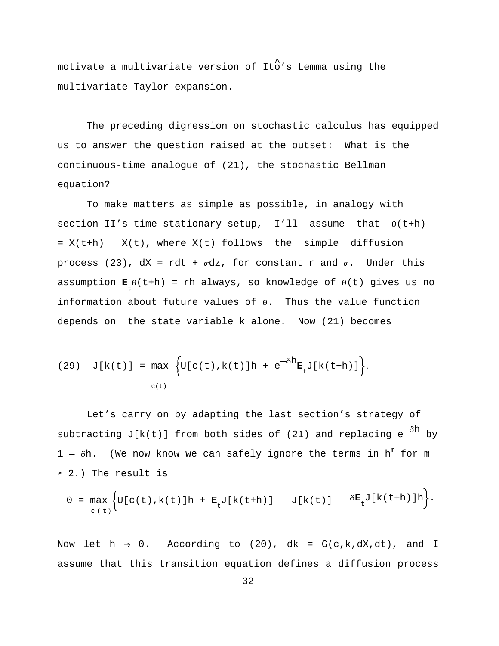motivate a multivariate version of Ito's Lemma using the multivariate Taylor expansion.

The preceding digression on stochastic calculus has equipped us to answer the question raised at the outset: What is the continuous-time analogue of (21), the stochastic Bellman equation?

------------------------------------------------------------------------------------------------------------------------------------------------------------------------------------------------------------------------------------------------------------------------------------------------------------------------------------------------------------------------------------------------------

To make matters as simple as possible, in analogy with section II's time-stationary setup, I'll assume that  $\theta$ (t+h)  $= X(t+h) - X(t)$ , where  $X(t)$  follows the simple diffusion process (23),  $dx = rdt + \sigma dz$ , for constant r and  $\sigma$ . Under this assumption  $\mathbf{E}_{\mu} \theta(t+h)$  = rh always, so knowledge of  $\theta(t)$  gives us no information about future values of  $\theta$ . Thus the value function depends on the state variable k alone. Now (21) becomes

(29) 
$$
J[k(t)] = \max_{c(t)} \left\{ U[c(t), k(t)]h + e^{-\delta h} \mathbf{E}_t J[k(t+h)] \right\}.
$$

Let's carry on by adapting the last section's strategy of subtracting J[k(t)] from both sides of (21) and replacing  $e^{-\delta h}$  by  $1 - \delta h$ . (We now know we can safely ignore the terms in  $h^{m}$  for m  $\geq$  2.) The result is

$$
0 = \max_{c(t)} \Biggl\{ U[c(t),k(t)]h + \mathbf{E}_t J[k(t+h)] - J[k(t)] - \delta \mathbf{E}_t J[k(t+h)]h \Biggr\}.
$$

Now let  $h \to 0$ . According to (20), dk = G(c,k,dX,dt), and I assume that this transition equation defines a diffusion process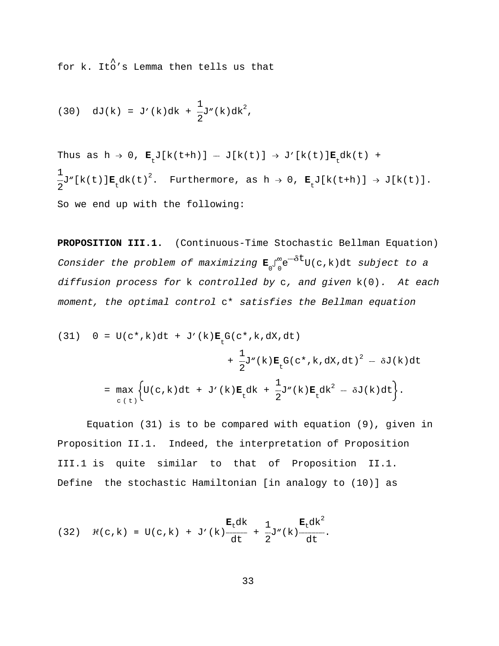^ for k. Ito's Lemma then tells us that

(30) 
$$
dJ(k) = J'(k)dk + \frac{1}{2}J''(k)dk^2
$$
,

Thus as  $h \to 0$ ,  $\mathbf{E}_{t} J[k(t+h)] - J[k(t)] \to J'[k(t)] \mathbf{E}_{t} dk(t) +$ <sup>1</sup> <sup>2</sup> ------J"[k(t)]**<sup>E</sup>** dk(t) . Furthermore, as h <sup>L</sup> 0, **<sup>E</sup>** J[k(t+h)] <sup>L</sup> J[k(t)].  $2^{2}$  t the contract  $t$  to the contract of  $\frac{1}{t}$ So we end up with the following:

**PROPOSITION III.1.** (Continuous-Time Stochastic Bellman Equation) Consider the problem of maximizing  $\mathbf{E} \int_{0}^{\infty} e^{-\delta t} U(c,k) dt$  subject to a diffusion process for k controlled by c, and given k(0). At each moment, the optimal control c\* satisfies the Bellman equation

(31) 
$$
0 = U(c^*, k)dt + J'(k)\mathbf{E}_t G(c^*, k, dx, dt)
$$

$$
+ \frac{1}{2}J''(k)\mathbf{E}_t G(c^*, k, dx, dt)^2 - \delta J(k)dt
$$

$$
= \max_{c(t)} \left\{ U(c, k)dt + J'(k)\mathbf{E}_t dk + \frac{1}{2}J''(k)\mathbf{E}_t dk^2 - \delta J(k)dt \right\}.
$$

Equation (31) is to be compared with equation (9), given in Proposition II.1. Indeed, the interpretation of Proposition III.1 is quite similar to that of Proposition II.1. Define the stochastic Hamiltonian [in analogy to (10)] as

(32) 
$$
\mathcal{H}(c,k) = U(c,k) + J'(k) \frac{\mathbf{E}_t dk}{dt} + \frac{1}{2} J''(k) \frac{\mathbf{E}_t dk^2}{dt}.
$$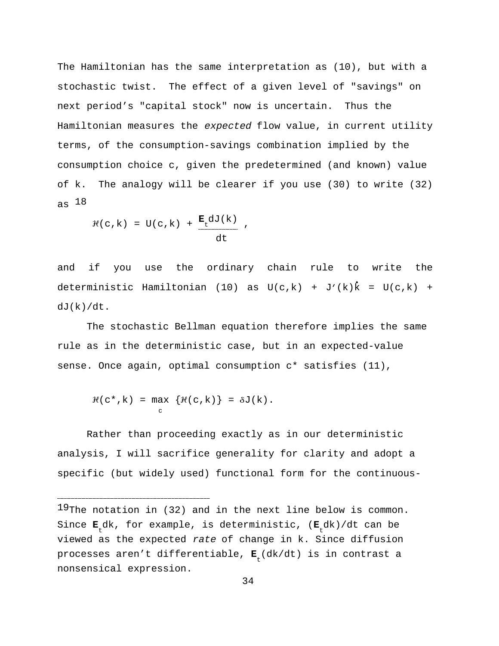The Hamiltonian has the same interpretation as (10), but with a stochastic twist. The effect of a given level of "savings" on next period's "capital stock" now is uncertain. Thus the Hamiltonian measures the expected flow value, in current utility terms, of the consumption-savings combination implied by the consumption choice c, given the predetermined (and known) value of k. The analogy will be clearer if you use (30) to write (32) as 18

$$
\mathcal{H}(c,k) = U(c,k) + \frac{\mathbf{E}_t dJ(k)}{dt},
$$

and if you use the ordinary chain rule to write the deterministic Hamiltonian (10) as  $U(c,k) + J'(k)\dot{k} = U(c,k) +$  $dJ(k)/dt$ .

The stochastic Bellman equation therefore implies the same rule as in the deterministic case, but in an expected-value sense. Once again, optimal consumption c\* satisfies (11),

$$
\mathcal{H}(c^*, k) = \max_{c} \{ \mathcal{H}(c, k) \} = \delta J(k).
$$

Rather than proceeding exactly as in our deterministic analysis, I will sacrifice generality for clarity and adopt a specific (but widely used) functional form for the continuous-

 $^{19}$ The notation in (32) and in the next line below is common. Since  $\mathbf{E}_\text{t}$ dk, for example, is deterministic, ( $\mathbf{E}_\text{t}$ dk)/dt can be viewed as the expected rate of change in k. Since diffusion processes aren't differentiable,  $\mathbf{E} \mathbf{_{t}}(\mathrm{d}\mathrm{k}/\mathrm{d}\mathrm{t})$  is in contrast a nonsensical expression.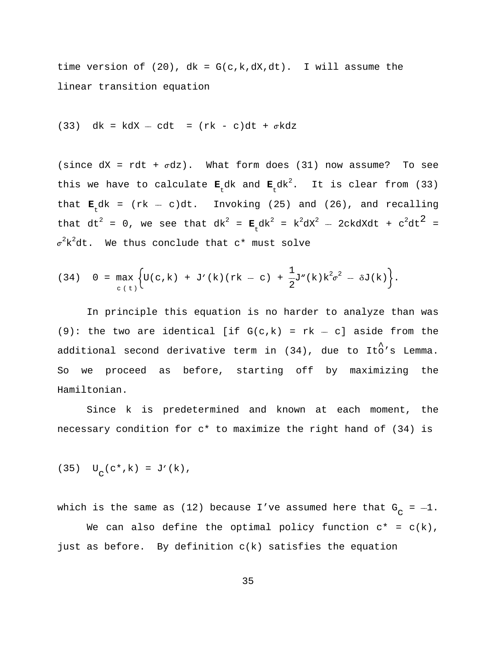time version of  $(20)$ ,  $dk = G(c, k, dX, dt)$ . I will assume the linear transition equation

 $(33)$  dk = kdX -- cdt =  $(rk - c)dt + \sigma kdz$ 

(since  $dX = rdt + \sigma dz$ ). What form does (31) now assume? To see this we have to calculate  $\mathbf{E}_t$ dk and  $\mathbf{E}_t$ dk<sup>2</sup>. It is clear from (33) that  $\mathbf{E}_{t}$ dk = (rk - c)dt. Invoking (25) and (26), and recalling that dt<sup>2</sup> = 0, we see that dk<sup>2</sup> =  $\mathbf{E}_t d k^2 = k^2 d x^2 - 2ckdXdt + c^2 dt^2 =$  $\mathfrak{\sigma}^2\texttt{k}^2$ dt. We thus conclude that c\* must solve

(34) 
$$
0 = \max_{c(t)} \Biggl\{ U(c,k) + J'(k)(rk - c) + \frac{1}{2} J''(k) k^2 \sigma^2 - \delta J(k) \Biggr\}.
$$

In principle this equation is no harder to analyze than was (9): the two are identical [if  $G(c,k) = rk - c$ ] aside from the additional second derivative term in  $(34)$ , due to Ito's Lemma. So we proceed as before, starting off by maximizing the Hamiltonian.

Since k is predetermined and known at each moment, the necessary condition for c\* to maximize the right hand of (34) is

(35)  $U_{\text{c}}(c^*, k) = J'(k)$ ,

which is the same as (12) because I've assumed here that  $G_{\overline{C}} = -1$ . We can also define the optimal policy function  $c^* = c(k)$ , just as before. By definition c(k) satisfies the equation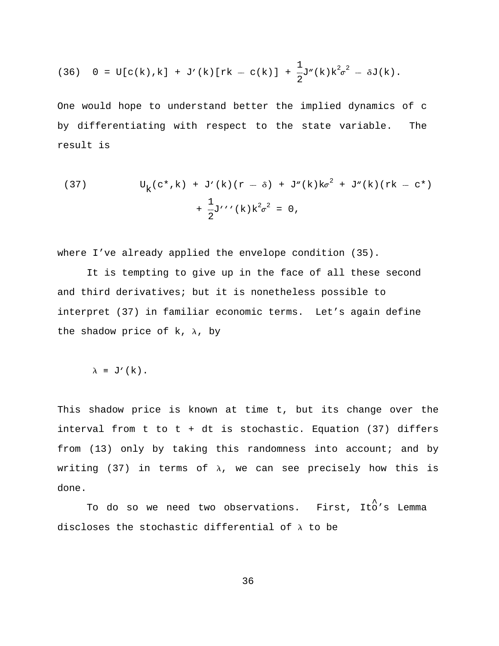(36) 
$$
0 = U[c(k),k] + J'(k)[rk - c(k)] + \frac{1}{2}J''(k)k^2\sigma^2 - \delta J(k).
$$

One would hope to understand better the implied dynamics of c by differentiating with respect to the state variable. The result is

(37) 
$$
U_{k}(c^{*}, k) + J'(k)(r - \delta) + J''(k)k\sigma^{2} + J''(k)(rk - c^{*}) + \frac{1}{2}J''(k)k^{2}\sigma^{2} = 0,
$$

where I've already applied the envelope condition (35).

It is tempting to give up in the face of all these second and third derivatives; but it is nonetheless possible to interpret (37) in familiar economic terms. Let's again define the shadow price of  $k$ ,  $\lambda$ , by

$$
\lambda \equiv J'(k).
$$

This shadow price is known at time t, but its change over the interval from t to t + dt is stochastic. Equation (37) differs from (13) only by taking this randomness into account; and by writing (37) in terms of  $\lambda$ , we can see precisely how this is done.

To do so we need two observations. First, Ito's Lemma discloses the stochastic differential of  $\lambda$  to be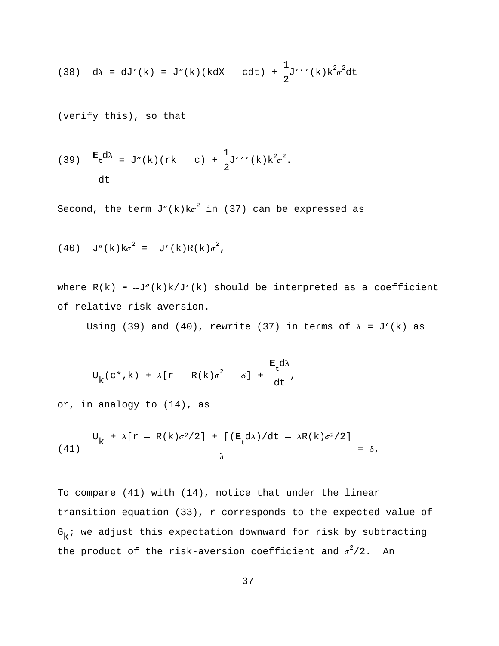(38) 
$$
d\lambda = dJ'(k) = J''(k)(kdx - cdt) + \frac{1}{2}J''(k)k^2\sigma^2 dt
$$

(verify this), so that

(39) 
$$
\frac{\mathbf{E} d\lambda}{\mathbf{t}} = J''(k) (rk - c) + \frac{1}{2} J''(k) k^2 \sigma^2.
$$

Second, the term  $J''(k)k\sigma^2$  in (37) can be expressed as

(40) 
$$
J''(k)k\sigma^2 = -J'(k)R(k)\sigma^2
$$
,

where  $R(k) = -J''(k)k/J'(k)$  should be interpreted as a coefficient of relative risk aversion.

Using (39) and (40), rewrite (37) in terms of  $\lambda = J'(k)$  as

$$
U_{k}(c*,k) + \lambda[r - R(k)\sigma^{2} - \delta] + \frac{E_{t}d\lambda}{dt},
$$

or, in analogy to (14), as

(41) 
$$
\frac{U_k + \lambda [r - R(k)\sigma^2/2] + [(\mathbf{E}_t d\lambda)/dt - \lambda R(k)\sigma^2/2]}{\lambda} = \delta,
$$

To compare (41) with (14), notice that under the linear transition equation (33), r corresponds to the expected value of  $G_k$ ; we adjust this expectation downward for risk by subtracting the product of the risk-aversion coefficient and  $\sigma^2/2$ . An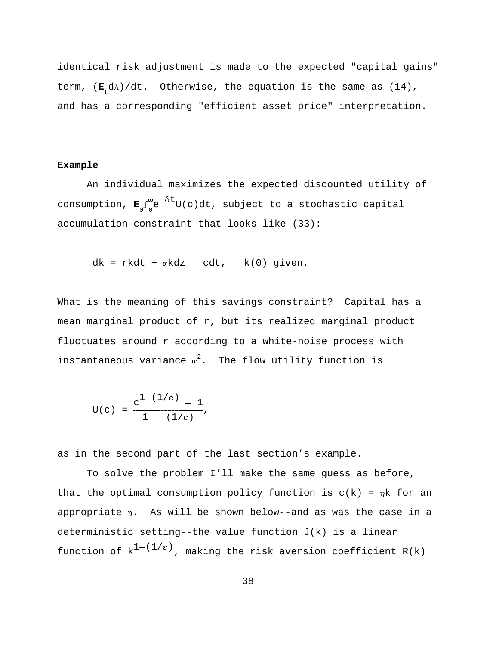identical risk adjustment is made to the expected "capital gains" term,  $(\mathbf{E}_t d\lambda)/dt$ . Otherwise, the equation is the same as  $(14)$ , and has a corresponding "efficient asset price" interpretation.

------------------------------------------------------------------------------------------------------------------------------------------------------------------------------------------------------------------------------------------------------------------------------------------------------------------------------------------------------------------------------------------------

## **Example**

An individual maximizes the expected discounted utility of consumption,  $\mathbf{E} \int_{0}^{\infty} e^{-\delta t} U(c) dt$ , subject to a stochastic capital accumulation constraint that looks like (33):

 $dk = r k dt + \sigma k dz - c dt$ ,  $k(0)$  given.

What is the meaning of this savings constraint? Capital has a mean marginal product of r, but its realized marginal product fluctuates around r according to a white-noise process with instantaneous variance  $\sigma^2$ . The flow utility function is

$$
U(c) = \frac{c^{1-(1/\epsilon)} - 1}{1 - (1/\epsilon)},
$$

as in the second part of the last section's example.

To solve the problem I'll make the same guess as before, that the optimal consumption policy function is  $c(k) = \eta k$  for an appropriate  $\eta$ . As will be shown below--and as was the case in a deterministic setting--the value function  $J(k)$  is a linear function of  $k^{1-(1/\epsilon)}$ , making the risk aversion coefficient R(k)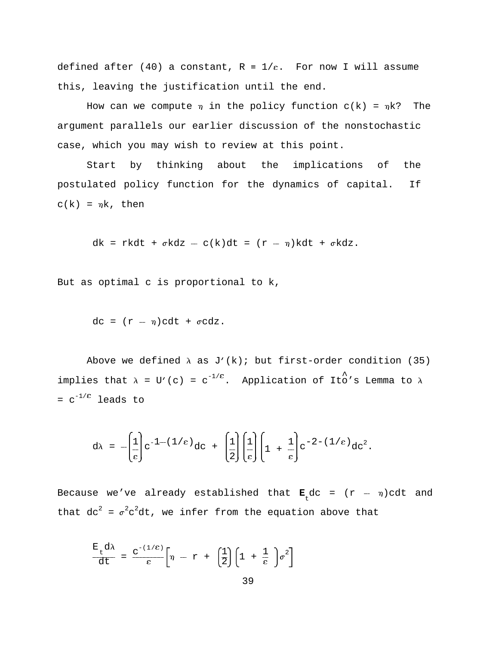defined after (40) a constant,  $R = 1/\varepsilon$ . For now I will assume this, leaving the justification until the end.

How can we compute  $\eta$  in the policy function  $c(k) = \eta k$ ? The argument parallels our earlier discussion of the nonstochastic case, which you may wish to review at this point.

Start by thinking about the implications of the postulated policy function for the dynamics of capital. If  $c(k) = \eta k$ , then

dk = rkdt +  $\sigma$ kdz - c(k)dt = (r -  $\eta$ )kdt +  $\sigma$ kdz.

But as optimal c is proportional to k,

 $dc = (r - \eta)cdt + \sigma cdz.$ 

Above we defined  $\lambda$  as J'(k); but first-order condition (35) implies that  $\lambda = U'(c) = c^{-1/\epsilon}$ . Application of Ito's Lemma to  $\lambda$  $= c^{-1/\epsilon}$  leads to

$$
d\lambda = -\left(\frac{1}{\epsilon}\right) c^{-1-(1/\epsilon)} dc + \left(\frac{1}{2}\right)\left(\frac{1}{\epsilon}\right)\left(1 + \frac{1}{\epsilon}\right) c^{-2-(1/\epsilon)} dc^2.
$$

Because we've already established that  $\mathbf{E}_{\mathsf{t}}^{\mathsf{d}}$ dc = (r --  $\eta$ )cdt and that  $dc^2 = \sigma^2 c^2 dt$ , we infer from the equation above that

$$
\frac{E_t d\lambda}{dt} = \frac{c^{-(1/\epsilon)}}{\epsilon} \left[ \eta - r + \left( \frac{1}{2} \right) \left( 1 + \frac{1}{\epsilon} \right) \sigma^2 \right]
$$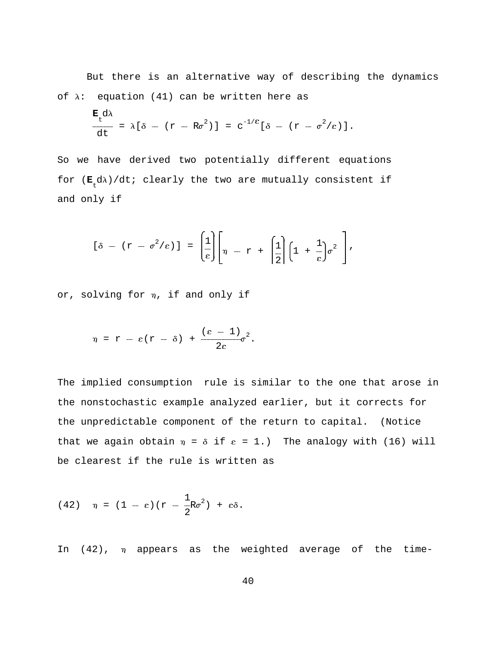But there is an alternative way of describing the dynamics of  $\lambda$ : equation (41) can be written here as

$$
\frac{\mathbf{E}_t d\lambda}{dt} = \lambda [\delta - (r - R\sigma^2)] = c^{-1/\epsilon} [\delta - (r - \sigma^2/\epsilon)].
$$

So we have derived two potentially different equations for  $(\mathbf{E}_t d\lambda)/dt$ ; clearly the two are mutually consistent if and only if

$$
[\delta - (r - \sigma^2/\varepsilon)] = \left[\frac{1}{\varepsilon}\right] \left[\eta - r + \left[\frac{1}{2}\right] \left(1 + \frac{1}{\varepsilon}\right) \sigma^2\right],
$$

or, solving for  $\eta$ , if and only if

$$
\eta = r - \varepsilon (r - \delta) + \frac{(\varepsilon - 1)}{2\varepsilon} \sigma^2.
$$

The implied consumption rule is similar to the one that arose in the nonstochastic example analyzed earlier, but it corrects for the unpredictable component of the return to capital. (Notice that we again obtain  $\eta = \delta$  if  $\epsilon = 1$ .) The analogy with (16) will be clearest if the rule is written as

(42) 
$$
\eta = (1 - \varepsilon)(r - \frac{1}{2}R\sigma^2) + \varepsilon\delta.
$$

In  $(42)$ ,  $\eta$  appears as the weighted average of the time-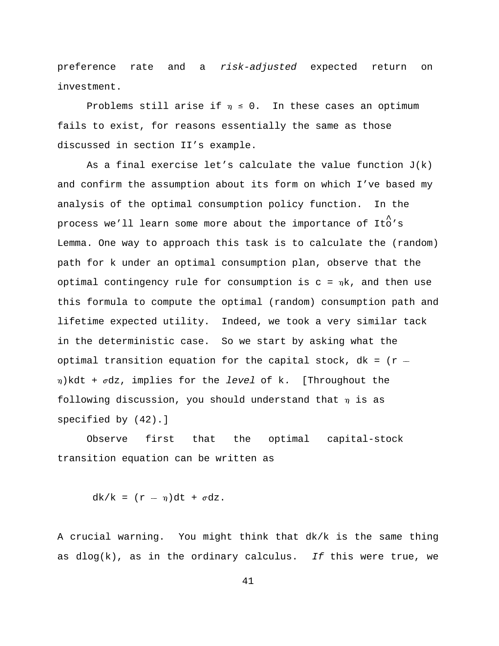preference rate and a risk-adjusted expected return on investment.

Problems still arise if  $\eta \leq 0$ . In these cases an optimum fails to exist, for reasons essentially the same as those discussed in section II's example.

As a final exercise let's calculate the value function  $J(k)$ and confirm the assumption about its form on which I've based my analysis of the optimal consumption policy function. In the process we'll learn some more about the importance of Ito's Lemma. One way to approach this task is to calculate the (random) path for k under an optimal consumption plan, observe that the optimal contingency rule for consumption is  $c = \eta k$ , and then use this formula to compute the optimal (random) consumption path and lifetime expected utility. Indeed, we took a very similar tack in the deterministic case. So we start by asking what the optimal transition equation for the capital stock,  $dk = (r \eta$ )kdt +  $\sigma$ dz, implies for the level of k. [Throughout the following discussion, you should understand that  $\eta$  is as specified by (42).]

Observe first that the optimal capital-stock transition equation can be written as

 $dk/k = (r - \eta)dt + \sigma dz$ .

A crucial warning. You might think that dk/k is the same thing as  $dlog(k)$ , as in the ordinary calculus. If this were true, we

41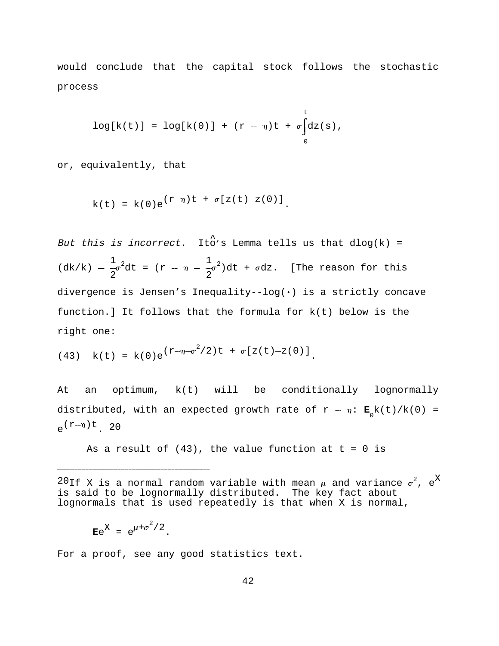would conclude that the capital stock follows the stochastic process

$$
\log[k(t)] = \log[k(0)] + (r - \eta)t + \sigma \int_{0}^{t} dz(s),
$$

or, equivalently, that

$$
k(t) = k(0)e^{(r-\eta)t} + \sigma[z(t)-z(0)].
$$

But this is incorrect. Ito's Lemma tells us that dlog(k) =  $1$   $1 \leq d$   $1 \leq d$   $\frac{1}{2}$   $\sigma^2$   $d$   $t$  =  $(r - \eta - \frac{1}{2}\sigma^2)$   $d$   $t$  +  $\sigma$   $d$   $z$ . [The reason for this 2 2 divergence is Jensen's Inequality--log( $\cdot$ ) is a strictly concave function.] It follows that the formula for k(t) below is the right one:

(43) 
$$
k(t) = k(0)e^{(r-\eta-\sigma^2/2)t} + \sigma[z(t)-z(0)].
$$

At an optimum, k(t) will be conditionally lognormally distributed, with an expected growth rate of  $r - \eta$ :  $\mathbf{E}_0^{\text{}}k(t) / k(0)$  =  $e^{(r-\eta)t}$  20

As a result of  $(43)$ , the value function at  $t = 0$  is

 $^{20}$ If X is a normal random variable with mean  $\mu$  and variance  $\sigma^2$ , e<sup>X</sup> is said to be lognormally distributed. The key fact about lognormals that is used repeatedly is that when X is normal,

$$
\mathbf{E}e^{X} = e^{\mu + \sigma^2/2}.
$$

------------------------------------------------------------------------------------------------------------------------------------------------------------

For a proof, see any good statistics text.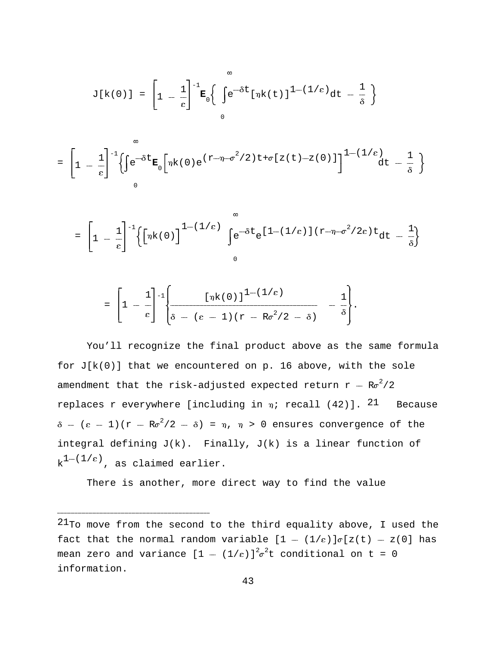$$
J[k(0)] = \left[1 - \frac{1}{\epsilon}\right]^{-1} \mathbf{E}_0 \left\{\int e^{-\delta t} [\eta k(t)]^{1-(1/\epsilon)} dt - \frac{1}{\delta} \right\}
$$

$$
= \left[1 - \frac{1}{\epsilon}\right]^{-1} \left\{\int e^{-\delta t} \mathbf{E}_0 \left[\eta k(0) e^{(r-\eta-\sigma^2/2)t + \sigma[z(t)-z(0)]}\right]^{1-(1/\epsilon)} dt - \frac{1}{\delta}\right\}
$$

$$
= \left[1 - \frac{1}{\epsilon}\right]^{-1} \left\{ \left[\eta k(0)\right]^{1 - (1/\epsilon)} \int_{0}^{\infty} e^{-\delta t} e^{[1 - (1/\epsilon)](r - \eta - \sigma^2/2\epsilon)t} dt - \frac{1}{\delta} \right\}
$$

$$
= \left[1 - \frac{1}{\epsilon}\right]^{-1} \left\{\frac{\left[\eta k(0)\right]^{1-(1/\epsilon)}}{\delta - (\epsilon - 1)(\tau - R\sigma^2/2 - \delta)} - \frac{1}{\delta}\right\}.
$$

You'll recognize the final product above as the same formula for  $J[k(0)]$  that we encountered on p. 16 above, with the sole amendment that the risk-adjusted expected return  $r - R\sigma^2/2$ replaces r everywhere [including in  $\eta$ ; recall (42)]. <sup>21</sup> Because  $\delta - (\epsilon - 1)(r - R\sigma^2/2 - \delta) = \eta$ ,  $\eta > 0$  ensures convergence of the integral defining J(k). Finally, J(k) is a linear function of  $k^{1-(1/\epsilon)}$ , as claimed earlier.

There is another, more direct way to find the value

 $^{21}$ To move from the second to the third equality above, I used the fact that the normal random variable  $[1 - (1/\epsilon)]\sigma[z(t) - z(0)]$  has mean zero and variance  $[1 - (1/\varepsilon)]^2 \sigma^2 t$  conditional on  $t = 0$ information.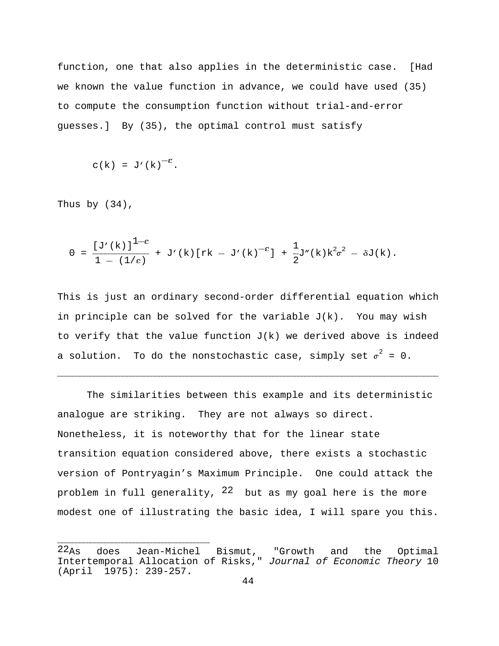function, one that also applies in the deterministic case. [Had we known the value function in advance, we could have used (35) to compute the consumption function without trial-and-error guesses.] By (35), the optimal control must satisfy

$$
c(k) = J'(k)^{-\epsilon}.
$$

Thus by (34),

$$
0 = \frac{[\text{J}'(k)]^{1-\epsilon}}{1 - (1/\epsilon)} + \text{J}'(k)[rk - J'(k)^{-\epsilon}] + \frac{1}{2}J''(k)k^{2}\sigma^{2} - \delta J(k).
$$

This is just an ordinary second-order differential equation which in principle can be solved for the variable  $J(k)$ . You may wish to verify that the value function  $J(k)$  we derived above is indeed a solution. To do the nonstochastic case, simply set  $\sigma^2 = 0$ .

------------------------------------------------------------------------------------------------------------------------------------------------------------------------------------------------------------------------------------------------------------------------------------------------------------------------------------------------------------------------------------------------------

The similarities between this example and its deterministic analogue are striking. They are not always so direct. Nonetheless, it is noteworthy that for the linear state transition equation considered above, there exists a stochastic version of Pontryagin's Maximum Principle. One could attack the problem in full generality,  $22$  but as my goal here is the more modest one of illustrating the basic idea, I will spare you this.

 $^{22}$ As does Jean-Michel Bismut, "Growth and the Optimal Intertemporal Allocation of Risks," Journal of Economic Theory 10 (April 1975): 239-257.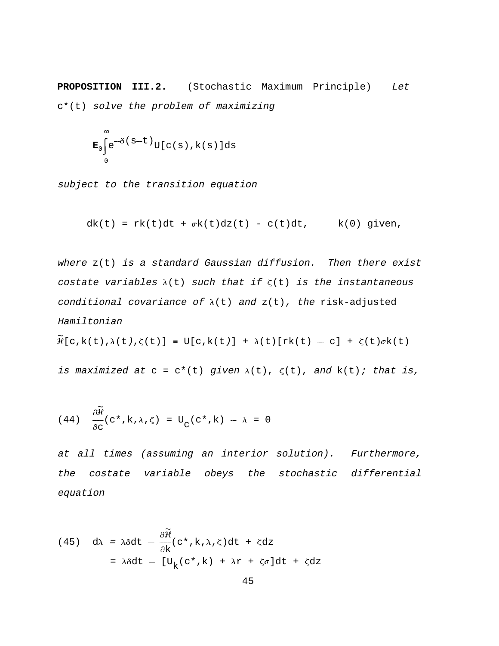**PROPOSITION III.2.** (Stochastic Maximum Principle) Let c\*(t) solve the problem of maximizing

$$
\mathbf{E}_0 \int_0^\infty e^{-\delta(s-t)} U[c(s), k(s)] ds
$$

subject to the transition equation

$$
dk(t) = rk(t)dt + \sigma k(t)dz(t) - c(t)dt, \qquad k(0) \text{ given},
$$

where  $z(t)$  is a standard Gaussian diffusion. Then there exist costate variables  $\lambda(t)$  such that if  $\zeta(t)$  is the instantaneous conditional covariance of  $\lambda(t)$  and  $z(t)$ , the risk-adjusted Hamiltonian

$$
\widetilde{\mathcal{H}}[c,k(t),\lambda(t),\zeta(t)] \equiv U[c,k(t)] + \lambda(t)[rk(t) - c] + \zeta(t)\sigma k(t)
$$

is maximized at  $c = c^*(t)$  given  $\lambda(t)$ ,  $\zeta(t)$ , and  $k(t)$ ; that is,

(44) 
$$
\frac{\partial \widetilde{\mathcal{H}}}{\partial c}(c^*, k, \lambda, \zeta) = U_c(c^*, k) - \lambda = 0
$$

at all times (assuming an interior solution). Furthermore, the costate variable obeys the stochastic differential equation

(45) 
$$
d\lambda = \lambda \delta dt - \frac{\partial \tilde{\mathcal{H}}}{\partial k} (c^*, k, \lambda, \zeta) dt + \zeta dz
$$
  

$$
= \lambda \delta dt - [U_k(c^*, k) + \lambda r + \zeta \sigma] dt + \zeta dz
$$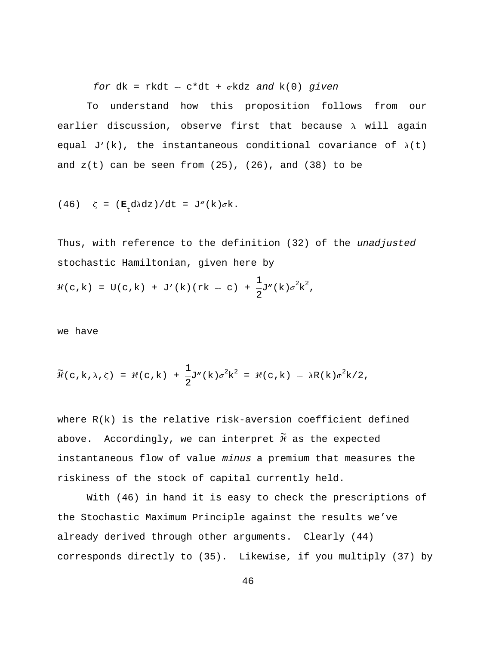for  $dk = r k dt - c * dt + \sigma k dz$  and  $k(0)$  given

To understand how this proposition follows from our earlier discussion, observe first that because  $\lambda$  will again equal J'(k), the instantaneous conditional covariance of  $\lambda(t)$ and  $z(t)$  can be seen from  $(25)$ ,  $(26)$ , and  $(38)$  to be

(46) 
$$
\zeta = (\mathbf{E}_t d \lambda dz) / dt = J''(k) \sigma k
$$
.

Thus, with reference to the definition (32) of the unadjusted stochastic Hamiltonian, given here by

$$
\mathcal{H}(c,k) = U(c,k) + J'(k)(rk - c) + \frac{1}{2}J''(k)\sigma^{2}k^{2},
$$

we have

$$
\widetilde{\mathcal{H}}(c, k, \lambda, \zeta) = \mathcal{H}(c, k) + \frac{1}{2}J''(k)\sigma^2 k^2 = \mathcal{H}(c, k) - \lambda R(k)\sigma^2 k/2,
$$

where  $R(k)$  is the relative risk-aversion coefficient defined above. Accordingly, we can interpret  $\widetilde{H}$  as the expected instantaneous flow of value minus a premium that measures the riskiness of the stock of capital currently held.

With (46) in hand it is easy to check the prescriptions of the Stochastic Maximum Principle against the results we've already derived through other arguments. Clearly (44) corresponds directly to (35). Likewise, if you multiply (37) by